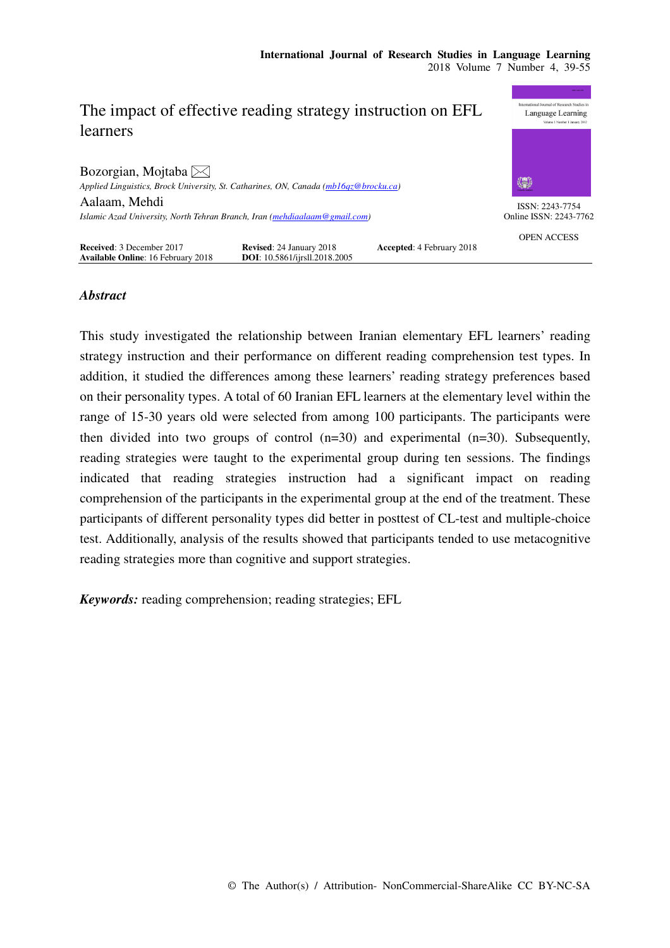

# *Abstract*

This study investigated the relationship between Iranian elementary EFL learners' reading strategy instruction and their performance on different reading comprehension test types. In addition, it studied the differences among these learners' reading strategy preferences based on their personality types. A total of 60 Iranian EFL learners at the elementary level within the range of 15-30 years old were selected from among 100 participants. The participants were then divided into two groups of control  $(n=30)$  and experimental  $(n=30)$ . Subsequently, reading strategies were taught to the experimental group during ten sessions. The findings indicated that reading strategies instruction had a significant impact on reading comprehension of the participants in the experimental group at the end of the treatment. These participants of different personality types did better in posttest of CL-test and multiple-choice test. Additionally, analysis of the results showed that participants tended to use metacognitive reading strategies more than cognitive and support strategies.

*Keywords:* reading comprehension; reading strategies; EFL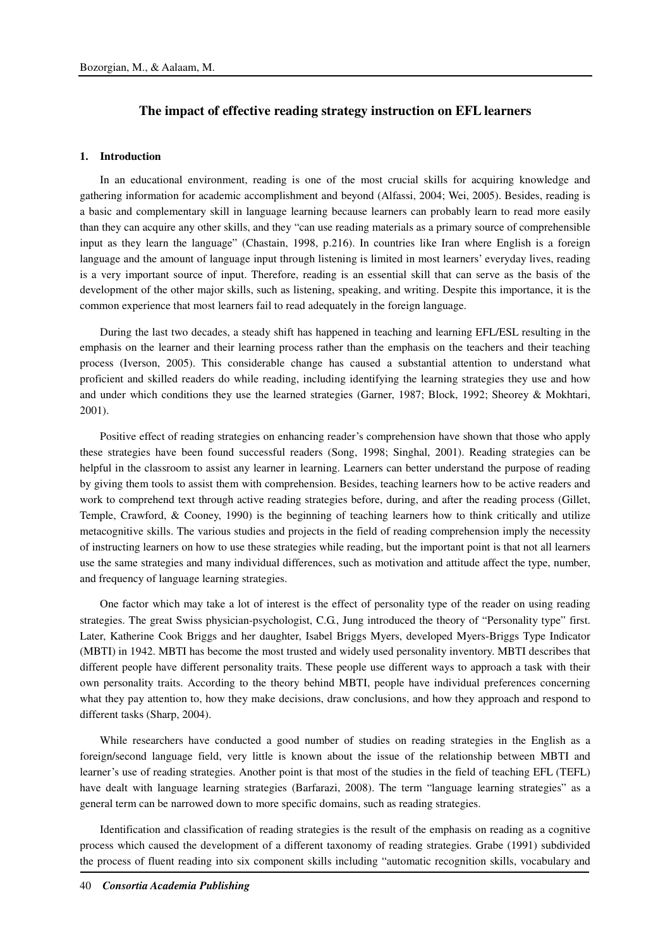# **The impact of effective reading strategy instruction on EFL learners**

### **1. Introduction**

In an educational environment, reading is one of the most crucial skills for acquiring knowledge and gathering information for academic accomplishment and beyond (Alfassi, 2004; Wei, 2005). Besides, reading is a basic and complementary skill in language learning because learners can probably learn to read more easily than they can acquire any other skills, and they "can use reading materials as a primary source of comprehensible input as they learn the language" (Chastain, 1998, p.216). In countries like Iran where English is a foreign language and the amount of language input through listening is limited in most learners' everyday lives, reading is a very important source of input. Therefore, reading is an essential skill that can serve as the basis of the development of the other major skills, such as listening, speaking, and writing. Despite this importance, it is the common experience that most learners fail to read adequately in the foreign language.

During the last two decades, a steady shift has happened in teaching and learning EFL/ESL resulting in the emphasis on the learner and their learning process rather than the emphasis on the teachers and their teaching process (Iverson, 2005). This considerable change has caused a substantial attention to understand what proficient and skilled readers do while reading, including identifying the learning strategies they use and how and under which conditions they use the learned strategies (Garner, 1987; Block, 1992; Sheorey & Mokhtari, 2001).

Positive effect of reading strategies on enhancing reader's comprehension have shown that those who apply these strategies have been found successful readers (Song, 1998; Singhal, 2001). Reading strategies can be helpful in the classroom to assist any learner in learning. Learners can better understand the purpose of reading by giving them tools to assist them with comprehension. Besides, teaching learners how to be active readers and work to comprehend text through active reading strategies before, during, and after the reading process (Gillet, Temple, Crawford, & Cooney, 1990) is the beginning of teaching learners how to think critically and utilize metacognitive skills. The various studies and projects in the field of reading comprehension imply the necessity of instructing learners on how to use these strategies while reading, but the important point is that not all learners use the same strategies and many individual differences, such as motivation and attitude affect the type, number, and frequency of language learning strategies.

One factor which may take a lot of interest is the effect of personality type of the reader on using reading strategies. The great Swiss physician-psychologist, C.G., Jung introduced the theory of "Personality type" first. Later, Katherine Cook Briggs and her daughter, Isabel Briggs Myers, developed Myers-Briggs Type Indicator (MBTI) in 1942. MBTI has become the most trusted and widely used personality inventory. MBTI describes that different people have different personality traits. These people use different ways to approach a task with their own personality traits. According to the theory behind MBTI, people have individual preferences concerning what they pay attention to, how they make decisions, draw conclusions, and how they approach and respond to different tasks (Sharp, 2004).

While researchers have conducted a good number of studies on reading strategies in the English as a foreign/second language field, very little is known about the issue of the relationship between MBTI and learner's use of reading strategies. Another point is that most of the studies in the field of teaching EFL (TEFL) have dealt with language learning strategies (Barfarazi, 2008). The term "language learning strategies" as a general term can be narrowed down to more specific domains, such as reading strategies.

Identification and classification of reading strategies is the result of the emphasis on reading as a cognitive process which caused the development of a different taxonomy of reading strategies. Grabe (1991) subdivided the process of fluent reading into six component skills including "automatic recognition skills, vocabulary and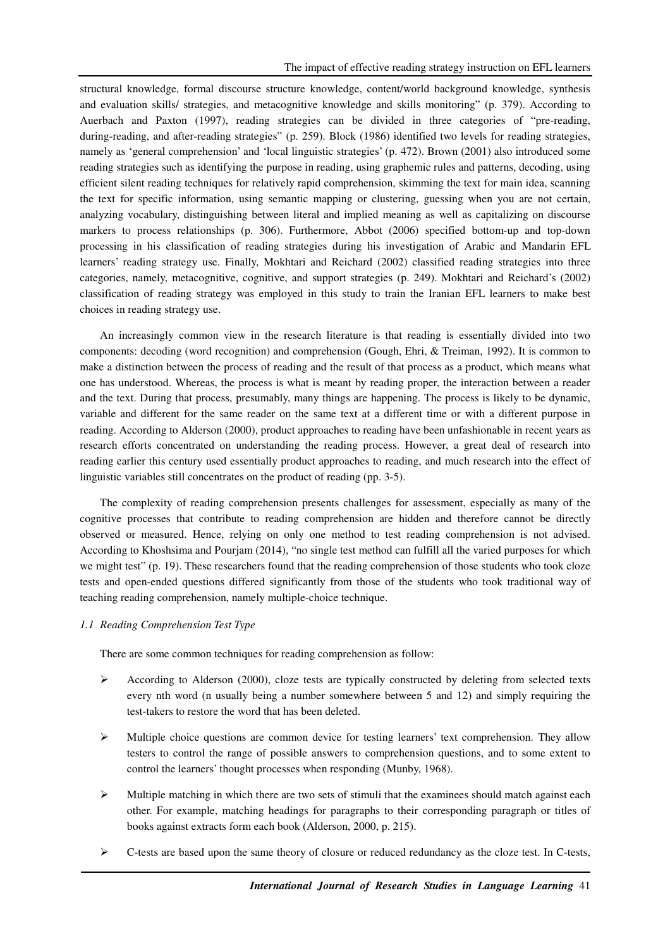structural knowledge, formal discourse structure knowledge, content/world background knowledge, synthesis and evaluation skills/ strategies, and metacognitive knowledge and skills monitoring" (p. 379). According to Auerbach and Paxton (1997), reading strategies can be divided in three categories of "pre-reading, during-reading, and after-reading strategies" (p. 259). Block (1986) identified two levels for reading strategies, namely as 'general comprehension' and 'local linguistic strategies' (p. 472). Brown (2001) also introduced some reading strategies such as identifying the purpose in reading, using graphemic rules and patterns, decoding, using efficient silent reading techniques for relatively rapid comprehension, skimming the text for main idea, scanning the text for specific information, using semantic mapping or clustering, guessing when you are not certain, analyzing vocabulary, distinguishing between literal and implied meaning as well as capitalizing on discourse markers to process relationships (p. 306). Furthermore, Abbot (2006) specified bottom-up and top-down processing in his classification of reading strategies during his investigation of Arabic and Mandarin EFL learners' reading strategy use. Finally, Mokhtari and Reichard (2002) classified reading strategies into three categories, namely, metacognitive, cognitive, and support strategies (p. 249). Mokhtari and Reichard's (2002) classification of reading strategy was employed in this study to train the Iranian EFL learners to make best choices in reading strategy use.

An increasingly common view in the research literature is that reading is essentially divided into two components: decoding (word recognition) and comprehension (Gough, Ehri, & Treiman, 1992). It is common to make a distinction between the process of reading and the result of that process as a product, which means what one has understood. Whereas, the process is what is meant by reading proper, the interaction between a reader and the text. During that process, presumably, many things are happening. The process is likely to be dynamic, variable and different for the same reader on the same text at a different time or with a different purpose in reading. According to Alderson (2000), product approaches to reading have been unfashionable in recent years as research efforts concentrated on understanding the reading process. However, a great deal of research into reading earlier this century used essentially product approaches to reading, and much research into the effect of linguistic variables still concentrates on the product of reading (pp. 3-5).

The complexity of reading comprehension presents challenges for assessment, especially as many of the cognitive processes that contribute to reading comprehension are hidden and therefore cannot be directly observed or measured. Hence, relying on only one method to test reading comprehension is not advised. According to Khoshsima and Pourjam (2014), "no single test method can fulfill all the varied purposes for which we might test" (p. 19). These researchers found that the reading comprehension of those students who took cloze tests and open-ended questions differed significantly from those of the students who took traditional way of teaching reading comprehension, namely multiple-choice technique.

# *1.1 Reading Comprehension Test Type*

There are some common techniques for reading comprehension as follow:

- According to Alderson (2000), cloze tests are typically constructed by deleting from selected texts every nth word (n usually being a number somewhere between 5 and 12) and simply requiring the test-takers to restore the word that has been deleted.
- Multiple choice questions are common device for testing learners' text comprehension. They allow testers to control the range of possible answers to comprehension questions, and to some extent to control the learners' thought processes when responding (Munby, 1968).
- $\triangleright$  Multiple matching in which there are two sets of stimuli that the examinees should match against each other. For example, matching headings for paragraphs to their corresponding paragraph or titles of books against extracts form each book (Alderson, 2000, p. 215).
- $\triangleright$  C-tests are based upon the same theory of closure or reduced redundancy as the cloze test. In C-tests,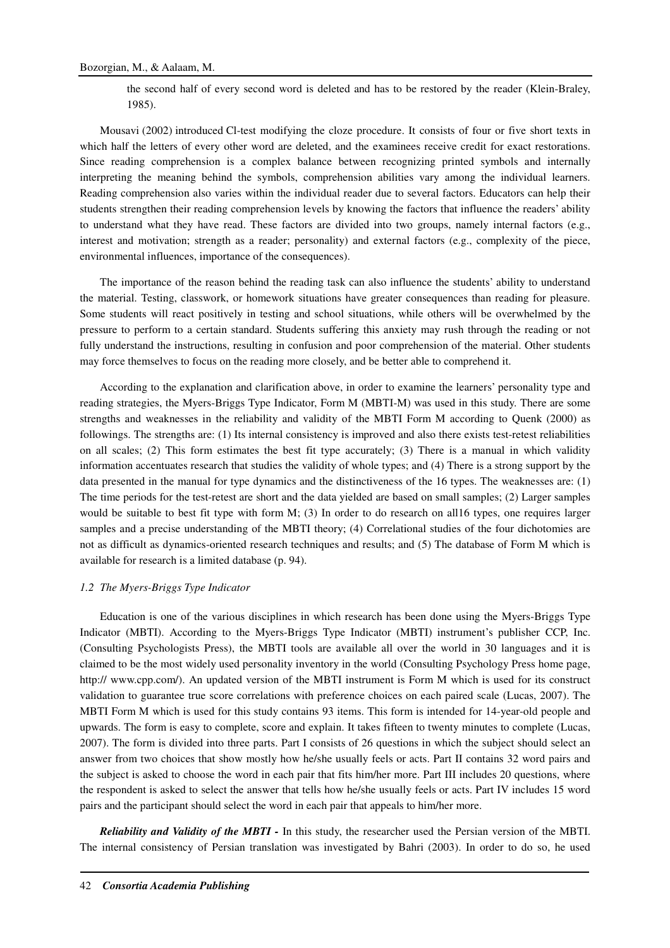the second half of every second word is deleted and has to be restored by the reader (Klein-Braley, 1985).

Mousavi (2002) introduced Cl-test modifying the cloze procedure. It consists of four or five short texts in which half the letters of every other word are deleted, and the examinees receive credit for exact restorations. Since reading comprehension is a complex balance between recognizing printed symbols and internally interpreting the meaning behind the symbols, comprehension abilities vary among the individual learners. Reading comprehension also varies within the individual reader due to several factors. Educators can help their students strengthen their reading comprehension levels by knowing the factors that influence the readers' ability to understand what they have read. These factors are divided into two groups, namely internal factors (e.g., interest and motivation; strength as a reader; personality) and external factors (e.g., complexity of the piece, environmental influences, importance of the consequences).

The importance of the reason behind the reading task can also influence the students' ability to understand the material. Testing, classwork, or homework situations have greater consequences than reading for pleasure. Some students will react positively in testing and school situations, while others will be overwhelmed by the pressure to perform to a certain standard. Students suffering this anxiety may rush through the reading or not fully understand the instructions, resulting in confusion and poor comprehension of the material. Other students may force themselves to focus on the reading more closely, and be better able to comprehend it.

According to the explanation and clarification above, in order to examine the learners' personality type and reading strategies, the Myers-Briggs Type Indicator, Form M (MBTI-M) was used in this study. There are some strengths and weaknesses in the reliability and validity of the MBTI Form M according to Quenk (2000) as followings. The strengths are: (1) Its internal consistency is improved and also there exists test-retest reliabilities on all scales; (2) This form estimates the best fit type accurately; (3) There is a manual in which validity information accentuates research that studies the validity of whole types; and (4) There is a strong support by the data presented in the manual for type dynamics and the distinctiveness of the 16 types. The weaknesses are: (1) The time periods for the test-retest are short and the data yielded are based on small samples; (2) Larger samples would be suitable to best fit type with form M; (3) In order to do research on all16 types, one requires larger samples and a precise understanding of the MBTI theory; (4) Correlational studies of the four dichotomies are not as difficult as dynamics-oriented research techniques and results; and (5) The database of Form M which is available for research is a limited database (p. 94).

#### *1.2 The Myers-Briggs Type Indicator*

Education is one of the various disciplines in which research has been done using the Myers-Briggs Type Indicator (MBTI). According to the Myers-Briggs Type Indicator (MBTI) instrument's publisher CCP, Inc. (Consulting Psychologists Press), the MBTI tools are available all over the world in 30 languages and it is claimed to be the most widely used personality inventory in the world (Consulting Psychology Press home page, http:// www.cpp.com/). An updated version of the MBTI instrument is Form M which is used for its construct validation to guarantee true score correlations with preference choices on each paired scale (Lucas, 2007). The MBTI Form M which is used for this study contains 93 items. This form is intended for 14-year-old people and upwards. The form is easy to complete, score and explain. It takes fifteen to twenty minutes to complete (Lucas, 2007). The form is divided into three parts. Part I consists of 26 questions in which the subject should select an answer from two choices that show mostly how he/she usually feels or acts. Part II contains 32 word pairs and the subject is asked to choose the word in each pair that fits him/her more. Part III includes 20 questions, where the respondent is asked to select the answer that tells how he/she usually feels or acts. Part IV includes 15 word pairs and the participant should select the word in each pair that appeals to him/her more.

*Reliability and Validity of the MBTI -* In this study, the researcher used the Persian version of the MBTI. The internal consistency of Persian translation was investigated by Bahri (2003). In order to do so, he used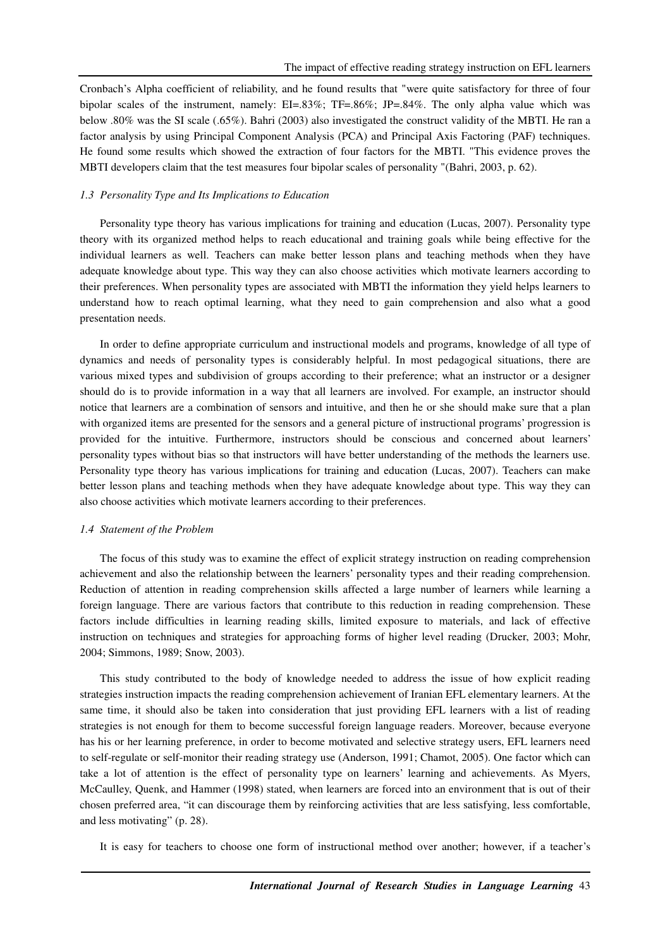Cronbach's Alpha coefficient of reliability, and he found results that "were quite satisfactory for three of four bipolar scales of the instrument, namely: EI=.83%; TF=.86%; JP=.84%. The only alpha value which was below .80% was the SI scale (.65%). Bahri (2003) also investigated the construct validity of the MBTI. He ran a factor analysis by using Principal Component Analysis (PCA) and Principal Axis Factoring (PAF) techniques. He found some results which showed the extraction of four factors for the MBTI. "This evidence proves the MBTI developers claim that the test measures four bipolar scales of personality "(Bahri, 2003, p. 62).

### *1.3 Personality Type and Its Implications to Education*

Personality type theory has various implications for training and education (Lucas, 2007). Personality type theory with its organized method helps to reach educational and training goals while being effective for the individual learners as well. Teachers can make better lesson plans and teaching methods when they have adequate knowledge about type. This way they can also choose activities which motivate learners according to their preferences. When personality types are associated with MBTI the information they yield helps learners to understand how to reach optimal learning, what they need to gain comprehension and also what a good presentation needs.

In order to define appropriate curriculum and instructional models and programs, knowledge of all type of dynamics and needs of personality types is considerably helpful. In most pedagogical situations, there are various mixed types and subdivision of groups according to their preference; what an instructor or a designer should do is to provide information in a way that all learners are involved. For example, an instructor should notice that learners are a combination of sensors and intuitive, and then he or she should make sure that a plan with organized items are presented for the sensors and a general picture of instructional programs' progression is provided for the intuitive. Furthermore, instructors should be conscious and concerned about learners' personality types without bias so that instructors will have better understanding of the methods the learners use. Personality type theory has various implications for training and education (Lucas, 2007). Teachers can make better lesson plans and teaching methods when they have adequate knowledge about type. This way they can also choose activities which motivate learners according to their preferences.

### *1.4 Statement of the Problem*

The focus of this study was to examine the effect of explicit strategy instruction on reading comprehension achievement and also the relationship between the learners' personality types and their reading comprehension. Reduction of attention in reading comprehension skills affected a large number of learners while learning a foreign language. There are various factors that contribute to this reduction in reading comprehension. These factors include difficulties in learning reading skills, limited exposure to materials, and lack of effective instruction on techniques and strategies for approaching forms of higher level reading (Drucker, 2003; Mohr, 2004; Simmons, 1989; Snow, 2003).

This study contributed to the body of knowledge needed to address the issue of how explicit reading strategies instruction impacts the reading comprehension achievement of Iranian EFL elementary learners. At the same time, it should also be taken into consideration that just providing EFL learners with a list of reading strategies is not enough for them to become successful foreign language readers. Moreover, because everyone has his or her learning preference, in order to become motivated and selective strategy users, EFL learners need to self-regulate or self-monitor their reading strategy use (Anderson, 1991; Chamot, 2005). One factor which can take a lot of attention is the effect of personality type on learners' learning and achievements. As Myers, McCaulley, Quenk, and Hammer (1998) stated, when learners are forced into an environment that is out of their chosen preferred area, "it can discourage them by reinforcing activities that are less satisfying, less comfortable, and less motivating" (p. 28).

It is easy for teachers to choose one form of instructional method over another; however, if a teacher's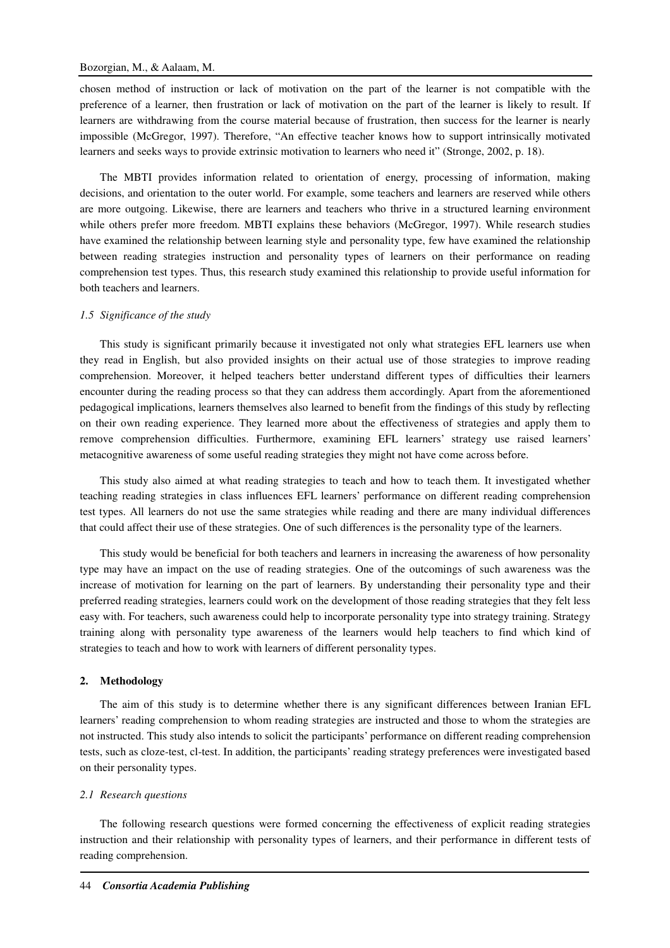chosen method of instruction or lack of motivation on the part of the learner is not compatible with the preference of a learner, then frustration or lack of motivation on the part of the learner is likely to result. If learners are withdrawing from the course material because of frustration, then success for the learner is nearly impossible (McGregor, 1997). Therefore, "An effective teacher knows how to support intrinsically motivated learners and seeks ways to provide extrinsic motivation to learners who need it" (Stronge, 2002, p. 18).

The MBTI provides information related to orientation of energy, processing of information, making decisions, and orientation to the outer world. For example, some teachers and learners are reserved while others are more outgoing. Likewise, there are learners and teachers who thrive in a structured learning environment while others prefer more freedom. MBTI explains these behaviors (McGregor, 1997). While research studies have examined the relationship between learning style and personality type, few have examined the relationship between reading strategies instruction and personality types of learners on their performance on reading comprehension test types. Thus, this research study examined this relationship to provide useful information for both teachers and learners.

### *1.5 Significance of the study*

This study is significant primarily because it investigated not only what strategies EFL learners use when they read in English, but also provided insights on their actual use of those strategies to improve reading comprehension. Moreover, it helped teachers better understand different types of difficulties their learners encounter during the reading process so that they can address them accordingly. Apart from the aforementioned pedagogical implications, learners themselves also learned to benefit from the findings of this study by reflecting on their own reading experience. They learned more about the effectiveness of strategies and apply them to remove comprehension difficulties. Furthermore, examining EFL learners' strategy use raised learners' metacognitive awareness of some useful reading strategies they might not have come across before.

This study also aimed at what reading strategies to teach and how to teach them. It investigated whether teaching reading strategies in class influences EFL learners' performance on different reading comprehension test types. All learners do not use the same strategies while reading and there are many individual differences that could affect their use of these strategies. One of such differences is the personality type of the learners.

This study would be beneficial for both teachers and learners in increasing the awareness of how personality type may have an impact on the use of reading strategies. One of the outcomings of such awareness was the increase of motivation for learning on the part of learners. By understanding their personality type and their preferred reading strategies, learners could work on the development of those reading strategies that they felt less easy with. For teachers, such awareness could help to incorporate personality type into strategy training. Strategy training along with personality type awareness of the learners would help teachers to find which kind of strategies to teach and how to work with learners of different personality types.

#### **2. Methodology**

The aim of this study is to determine whether there is any significant differences between Iranian EFL learners' reading comprehension to whom reading strategies are instructed and those to whom the strategies are not instructed. This study also intends to solicit the participants' performance on different reading comprehension tests, such as cloze-test, cl-test. In addition, the participants' reading strategy preferences were investigated based on their personality types.

#### *2.1 Research questions*

The following research questions were formed concerning the effectiveness of explicit reading strategies instruction and their relationship with personality types of learners, and their performance in different tests of reading comprehension.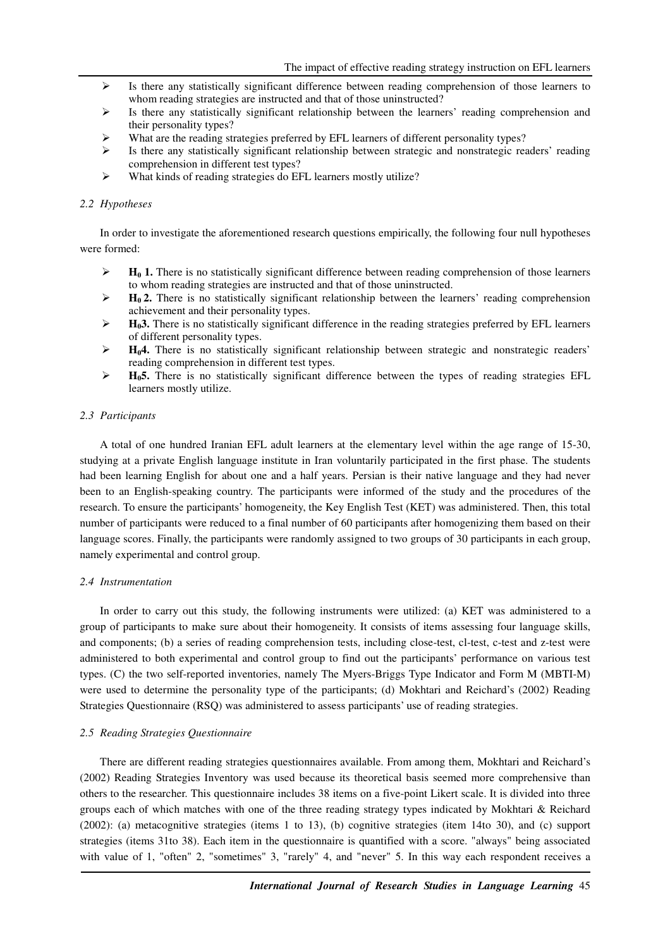- Is there any statistically significant difference between reading comprehension of those learners to whom reading strategies are instructed and that of those uninstructed?
- $\triangleright$  Is there any statistically significant relationship between the learners' reading comprehension and their personality types?
- What are the reading strategies preferred by EFL learners of different personality types?
- $\triangleright$  Is there any statistically significant relationship between strategic and nonstrategic readers' reading comprehension in different test types?
- What kinds of reading strategies do EFL learners mostly utilize?

#### *2.2 Hypotheses*

In order to investigate the aforementioned research questions empirically, the following four null hypotheses were formed:

- $\blacktriangleright$  **H<sub>0</sub>** 1. There is no statistically significant difference between reading comprehension of those learners to whom reading strategies are instructed and that of those uninstructed.
- $H_0$ **2.** There is no statistically significant relationship between the learners' reading comprehension achievement and their personality types.
- $\blacktriangleright$  **H<sub>0</sub>3.** There is no statistically significant difference in the reading strategies preferred by EFL learners of different personality types.
- **H04.** There is no statistically significant relationship between strategic and nonstrategic readers' reading comprehension in different test types.
- $\triangleright$  **H<sub>0</sub>5.** There is no statistically significant difference between the types of reading strategies EFL learners mostly utilize.

#### *2.3 Participants*

A total of one hundred Iranian EFL adult learners at the elementary level within the age range of 15-30, studying at a private English language institute in Iran voluntarily participated in the first phase. The students had been learning English for about one and a half years. Persian is their native language and they had never been to an English-speaking country. The participants were informed of the study and the procedures of the research. To ensure the participants' homogeneity, the Key English Test (KET) was administered. Then, this total number of participants were reduced to a final number of 60 participants after homogenizing them based on their language scores. Finally, the participants were randomly assigned to two groups of 30 participants in each group, namely experimental and control group.

#### *2.4 Instrumentation*

In order to carry out this study, the following instruments were utilized: (a) KET was administered to a group of participants to make sure about their homogeneity. It consists of items assessing four language skills, and components; (b) a series of reading comprehension tests, including close-test, cl-test, c-test and z-test were administered to both experimental and control group to find out the participants' performance on various test types. (C) the two self-reported inventories, namely The Myers-Briggs Type Indicator and Form M (MBTI-M) were used to determine the personality type of the participants; (d) Mokhtari and Reichard's (2002) Reading Strategies Questionnaire (RSQ) was administered to assess participants' use of reading strategies.

## *2.5 Reading Strategies Questionnaire*

There are different reading strategies questionnaires available. From among them, Mokhtari and Reichard's (2002) Reading Strategies Inventory was used because its theoretical basis seemed more comprehensive than others to the researcher. This questionnaire includes 38 items on a five-point Likert scale. It is divided into three groups each of which matches with one of the three reading strategy types indicated by Mokhtari & Reichard (2002): (a) metacognitive strategies (items 1 to 13), (b) cognitive strategies (item 14to 30), and (c) support strategies (items 31to 38). Each item in the questionnaire is quantified with a score. "always" being associated with value of 1, "often" 2, "sometimes" 3, "rarely" 4, and "never" 5. In this way each respondent receives a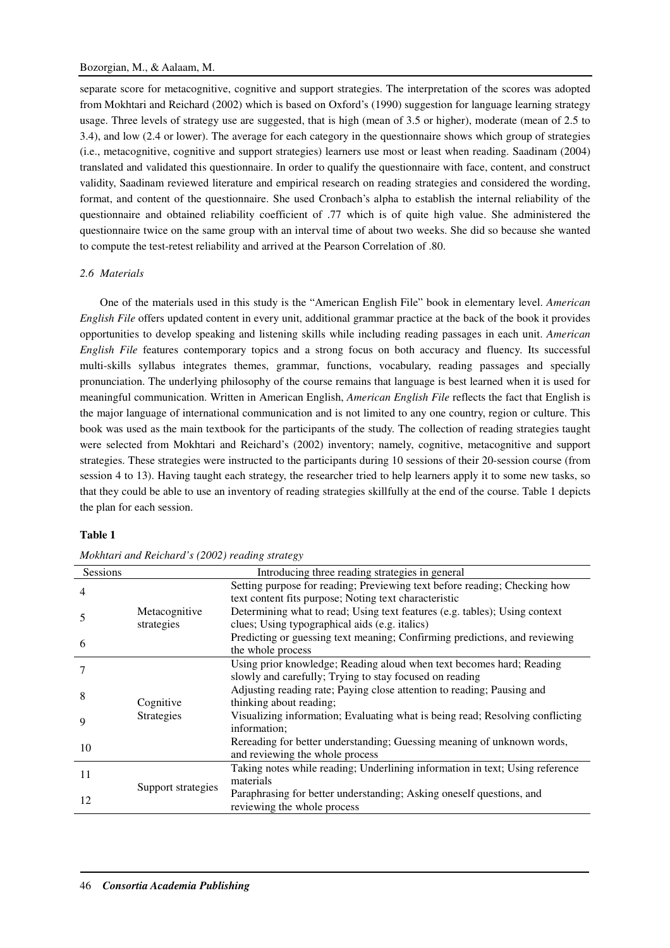separate score for metacognitive, cognitive and support strategies. The interpretation of the scores was adopted from Mokhtari and Reichard (2002) which is based on Oxford's (1990) suggestion for language learning strategy usage. Three levels of strategy use are suggested, that is high (mean of 3.5 or higher), moderate (mean of 2.5 to 3.4), and low (2.4 or lower). The average for each category in the questionnaire shows which group of strategies (i.e., metacognitive, cognitive and support strategies) learners use most or least when reading. Saadinam (2004) translated and validated this questionnaire. In order to qualify the questionnaire with face, content, and construct validity, Saadinam reviewed literature and empirical research on reading strategies and considered the wording, format, and content of the questionnaire. She used Cronbach's alpha to establish the internal reliability of the questionnaire and obtained reliability coefficient of .77 which is of quite high value. She administered the questionnaire twice on the same group with an interval time of about two weeks. She did so because she wanted to compute the test-retest reliability and arrived at the Pearson Correlation of .80.

## *2.6 Materials*

One of the materials used in this study is the "American English File" book in elementary level. *American English File* offers updated content in every unit, additional grammar practice at the back of the book it provides opportunities to develop speaking and listening skills while including reading passages in each unit. *American English File* features contemporary topics and a strong focus on both accuracy and fluency. Its successful multi-skills syllabus integrates themes, grammar, functions, vocabulary, reading passages and specially pronunciation. The underlying philosophy of the course remains that language is best learned when it is used for meaningful communication. Written in American English, *American English File* reflects the fact that English is the major language of international communication and is not limited to any one country, region or culture. This book was used as the main textbook for the participants of the study. The collection of reading strategies taught were selected from Mokhtari and Reichard's (2002) inventory; namely, cognitive, metacognitive and support strategies. These strategies were instructed to the participants during 10 sessions of their 20-session course (from session 4 to 13). Having taught each strategy, the researcher tried to help learners apply it to some new tasks, so that they could be able to use an inventory of reading strategies skillfully at the end of the course. Table 1 depicts the plan for each session.

## **Table 1**

| Sessions |                    | Introducing three reading strategies in general                               |  |  |  |
|----------|--------------------|-------------------------------------------------------------------------------|--|--|--|
| 4        |                    | Setting purpose for reading; Previewing text before reading; Checking how     |  |  |  |
|          |                    | text content fits purpose; Noting text characteristic                         |  |  |  |
|          | Metacognitive      | Determining what to read; Using text features (e.g. tables); Using context    |  |  |  |
|          | strategies         | clues; Using typographical aids (e.g. italics)                                |  |  |  |
| 6        |                    | Predicting or guessing text meaning; Confirming predictions, and reviewing    |  |  |  |
|          |                    | the whole process                                                             |  |  |  |
|          |                    | Using prior knowledge; Reading aloud when text becomes hard; Reading          |  |  |  |
|          |                    | slowly and carefully; Trying to stay focused on reading                       |  |  |  |
| 8        |                    | Adjusting reading rate; Paying close attention to reading; Pausing and        |  |  |  |
|          | Cognitive          | thinking about reading;                                                       |  |  |  |
| 9        | <b>Strategies</b>  | Visualizing information; Evaluating what is being read; Resolving conflicting |  |  |  |
|          |                    | information:                                                                  |  |  |  |
| 10       |                    | Rereading for better understanding; Guessing meaning of unknown words,        |  |  |  |
|          |                    | and reviewing the whole process                                               |  |  |  |
| 11       |                    | Taking notes while reading; Underlining information in text; Using reference  |  |  |  |
|          |                    | materials                                                                     |  |  |  |
| 12       | Support strategies | Paraphrasing for better understanding; Asking oneself questions, and          |  |  |  |
|          |                    | reviewing the whole process                                                   |  |  |  |

*Mokhtari and Reichard's (2002) reading strategy*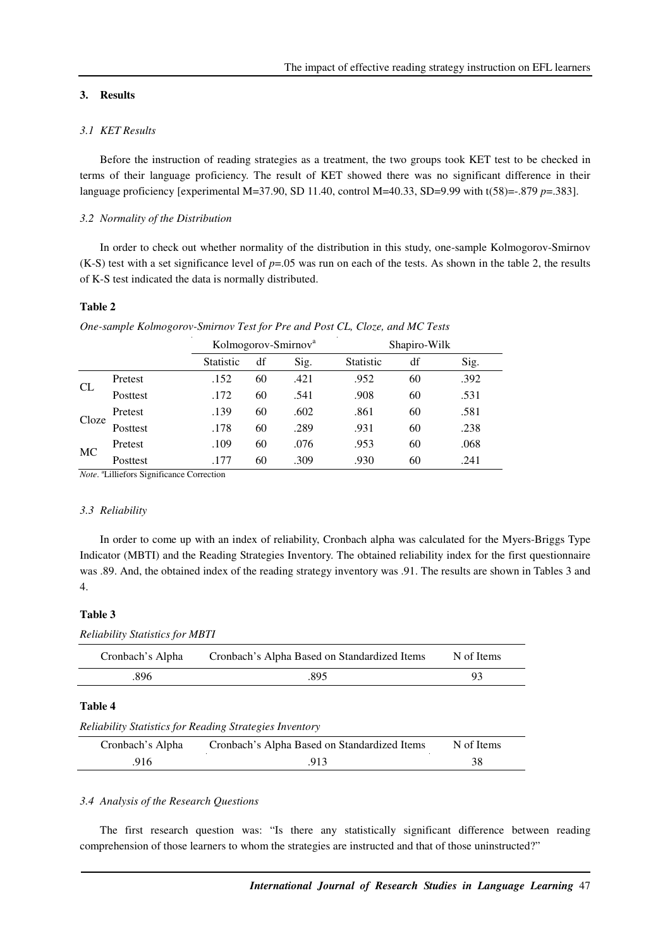## **3. Results**

# *3.1 KET Results*

Before the instruction of reading strategies as a treatment, the two groups took KET test to be checked in terms of their language proficiency. The result of KET showed there was no significant difference in their language proficiency [experimental M=37.90, SD 11.40, control M=40.33, SD=9.99 with t(58)=-.879 *p*=.383].

## *3.2 Normality of the Distribution*

In order to check out whether normality of the distribution in this study, one-sample Kolmogorov-Smirnov  $(K-S)$  test with a set significance level of  $p=.05$  was run on each of the tests. As shown in the table 2, the results of K-S test indicated the data is normally distributed.

### **Table 2**

| One-sample Kolmogorov-Smirnov Test for Pre and Post CL, Cloze, and MC Tests |  |  |  |
|-----------------------------------------------------------------------------|--|--|--|
|                                                                             |  |  |  |

|           |          |                  | Kolmogorov-Smirnov <sup>a</sup> |      |                  | Shapiro-Wilk |      |  |
|-----------|----------|------------------|---------------------------------|------|------------------|--------------|------|--|
|           |          | <b>Statistic</b> | df                              | Sig. | <b>Statistic</b> | df           | Sig. |  |
|           | Pretest  | .152             | 60                              | .421 | .952             | 60           | .392 |  |
| CL        | Posttest | .172             | 60                              | .541 | .908             | 60           | .531 |  |
| Cloze     | Pretest  | .139             | 60                              | .602 | .861             | 60           | .581 |  |
|           | Posttest | .178             | 60                              | .289 | .931             | 60           | .238 |  |
|           | Pretest  | .109             | 60                              | .076 | .953             | 60           | .068 |  |
| <b>MC</b> | Posttest | .177             | 60                              | .309 | .930             | 60           | .241 |  |

*Note*. <sup>a</sup>Lilliefors Significance Correction

#### *3.3 Reliability*

In order to come up with an index of reliability, Cronbach alpha was calculated for the Myers-Briggs Type Indicator (MBTI) and the Reading Strategies Inventory. The obtained reliability index for the first questionnaire was .89. And, the obtained index of the reading strategy inventory was .91. The results are shown in Tables 3 and 4.

## **Table 3**

*Reliability Statistics for MBTI* 

| Cronbach's Alpha | Cronbach's Alpha Based on Standardized Items | N of Items |
|------------------|----------------------------------------------|------------|
| .896             | .895                                         | 93         |
| Table 4          |                                              |            |

#### *Reliability Statistics for Reading Strategies Inventory*

| Cronbach's Alpha | Cronbach's Alpha Based on Standardized Items | N of Items |
|------------------|----------------------------------------------|------------|
| .916             | .913                                         |            |

### *3.4 Analysis of the Research Questions*

The first research question was: "Is there any statistically significant difference between reading comprehension of those learners to whom the strategies are instructed and that of those uninstructed?"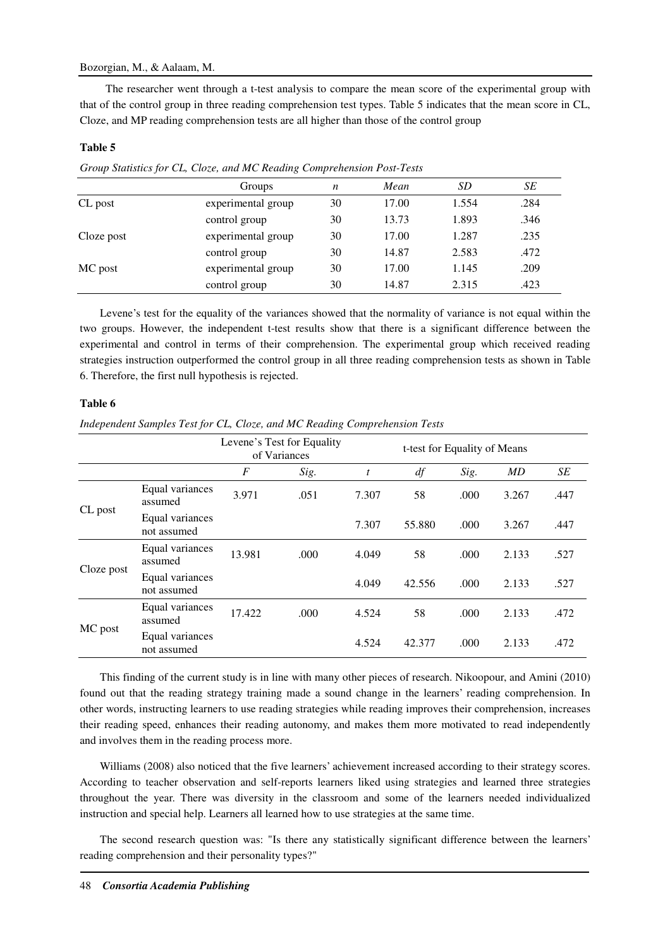## Bozorgian, M., & Aalaam, M.

 The researcher went through a t-test analysis to compare the mean score of the experimental group with that of the control group in three reading comprehension test types. Table 5 indicates that the mean score in CL, Cloze, and MP reading comprehension tests are all higher than those of the control group

### **Table 5**

| Group Bunishes for OB, Cloce, and the Redding Comprehension Fost Fests |                    |    |       |       |      |  |  |  |
|------------------------------------------------------------------------|--------------------|----|-------|-------|------|--|--|--|
|                                                                        | Groups             | n  | Mean  | SD    | SE   |  |  |  |
| CL post                                                                | experimental group | 30 | 17.00 | 1.554 | .284 |  |  |  |
|                                                                        | control group      | 30 | 13.73 | 1.893 | .346 |  |  |  |
| Cloze post                                                             | experimental group | 30 | 17.00 | 1.287 | .235 |  |  |  |
|                                                                        | control group      | 30 | 14.87 | 2.583 | .472 |  |  |  |
| MC post                                                                | experimental group | 30 | 17.00 | 1.145 | .209 |  |  |  |
|                                                                        | control group      | 30 | 14.87 | 2.315 | .423 |  |  |  |

*Group Statistics for CL, Cloze, and MC Reading Comprehension Post-Tests* 

Levene's test for the equality of the variances showed that the normality of variance is not equal within the two groups. However, the independent t-test results show that there is a significant difference between the experimental and control in terms of their comprehension. The experimental group which received reading strategies instruction outperformed the control group in all three reading comprehension tests as shown in Table 6. Therefore, the first null hypothesis is rejected.

## **Table 6**

*Independent Samples Test for CL, Cloze, and MC Reading Comprehension Tests* 

|            |                                | Levene's Test for Equality | of Variances |                  | t-test for Equality of Means |       |       |      |
|------------|--------------------------------|----------------------------|--------------|------------------|------------------------------|-------|-------|------|
|            |                                | F                          | Sig.         | $\boldsymbol{t}$ | df                           | Sig.  | MD    | SE   |
| CL post    | Equal variances<br>assumed     | 3.971                      | .051         | 7.307            | 58                           | .000  | 3.267 | .447 |
|            | Equal variances<br>not assumed |                            |              | 7.307            | 55.880                       | .000. | 3.267 | .447 |
|            | Equal variances<br>assumed     | 13.981                     | .000         | 4.049            | 58                           | .000  | 2.133 | .527 |
| Cloze post | Equal variances<br>not assumed |                            |              | 4.049            | 42.556                       | .000  | 2.133 | .527 |
|            | Equal variances<br>assumed     | 17.422                     | .000         | 4.524            | 58                           | .000  | 2.133 | .472 |
| MC post    | Equal variances<br>not assumed |                            |              | 4.524            | 42.377                       | .000  | 2.133 | .472 |

This finding of the current study is in line with many other pieces of research. Nikoopour, and Amini (2010) found out that the reading strategy training made a sound change in the learners' reading comprehension. In other words, instructing learners to use reading strategies while reading improves their comprehension, increases their reading speed, enhances their reading autonomy, and makes them more motivated to read independently and involves them in the reading process more.

Williams (2008) also noticed that the five learners' achievement increased according to their strategy scores. According to teacher observation and self-reports learners liked using strategies and learned three strategies throughout the year. There was diversity in the classroom and some of the learners needed individualized instruction and special help. Learners all learned how to use strategies at the same time.

The second research question was: "Is there any statistically significant difference between the learners' reading comprehension and their personality types?"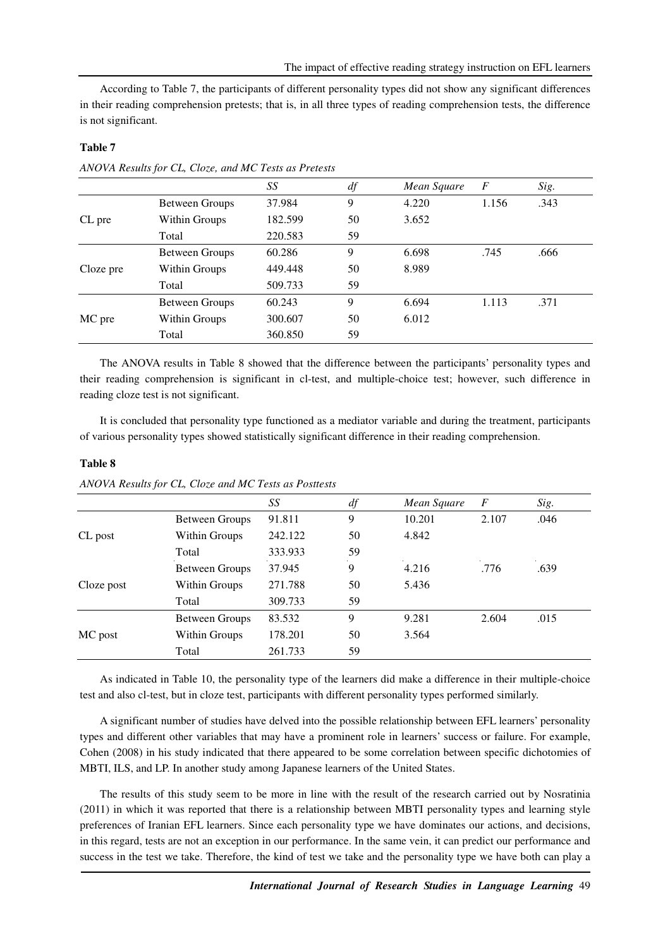According to Table 7, the participants of different personality types did not show any significant differences in their reading comprehension pretests; that is, in all three types of reading comprehension tests, the difference is not significant.

|           |                | SS      | df | Mean Square | F     | Sig. |
|-----------|----------------|---------|----|-------------|-------|------|
|           | Between Groups | 37.984  | 9  | 4.220       | 1.156 | .343 |
| CL pre    | Within Groups  | 182.599 | 50 | 3.652       |       |      |
|           | Total          | 220.583 | 59 |             |       |      |
|           | Between Groups | 60.286  | 9  | 6.698       | .745  | .666 |
| Cloze pre | Within Groups  | 449.448 | 50 | 8.989       |       |      |
|           | Total          | 509.733 | 59 |             |       |      |
|           | Between Groups | 60.243  | 9  | 6.694       | 1.113 | .371 |
| MC pre    | Within Groups  | 300.607 | 50 | 6.012       |       |      |
|           | Total          | 360.850 | 59 |             |       |      |

*ANOVA Results for CL, Cloze, and MC Tests as Pretests* 

The ANOVA results in Table 8 showed that the difference between the participants' personality types and their reading comprehension is significant in cl-test, and multiple-choice test; however, such difference in reading cloze test is not significant.

It is concluded that personality type functioned as a mediator variable and during the treatment, participants of various personality types showed statistically significant difference in their reading comprehension.

|            |                | SS      | df | Mean Square | F     | Sig. |
|------------|----------------|---------|----|-------------|-------|------|
|            | Between Groups | 91.811  | 9  | 10.201      | 2.107 | .046 |
| CL post    | Within Groups  | 242.122 | 50 | 4.842       |       |      |
|            | Total          | 333.933 | 59 |             |       |      |
|            | Between Groups | 37.945  | 9  | 4.216       | .776  | .639 |
| Cloze post | Within Groups  | 271.788 | 50 | 5.436       |       |      |
|            | Total          | 309.733 | 59 |             |       |      |
|            | Between Groups | 83.532  | 9  | 9.281       | 2.604 | .015 |
| MC post    | Within Groups  | 178.201 | 50 | 3.564       |       |      |
|            | Total          | 261.733 | 59 |             |       |      |

**Table 8** 

**Table 7** 

*ANOVA Results for CL, Cloze and MC Tests as Posttests* 

As indicated in Table 10, the personality type of the learners did make a difference in their multiple-choice test and also cl-test, but in cloze test, participants with different personality types performed similarly.

A significant number of studies have delved into the possible relationship between EFL learners' personality types and different other variables that may have a prominent role in learners' success or failure. For example, Cohen (2008) in his study indicated that there appeared to be some correlation between specific dichotomies of MBTI, ILS, and LP. In another study among Japanese learners of the United States.

The results of this study seem to be more in line with the result of the research carried out by Nosratinia (2011) in which it was reported that there is a relationship between MBTI personality types and learning style preferences of Iranian EFL learners. Since each personality type we have dominates our actions, and decisions, in this regard, tests are not an exception in our performance. In the same vein, it can predict our performance and success in the test we take. Therefore, the kind of test we take and the personality type we have both can play a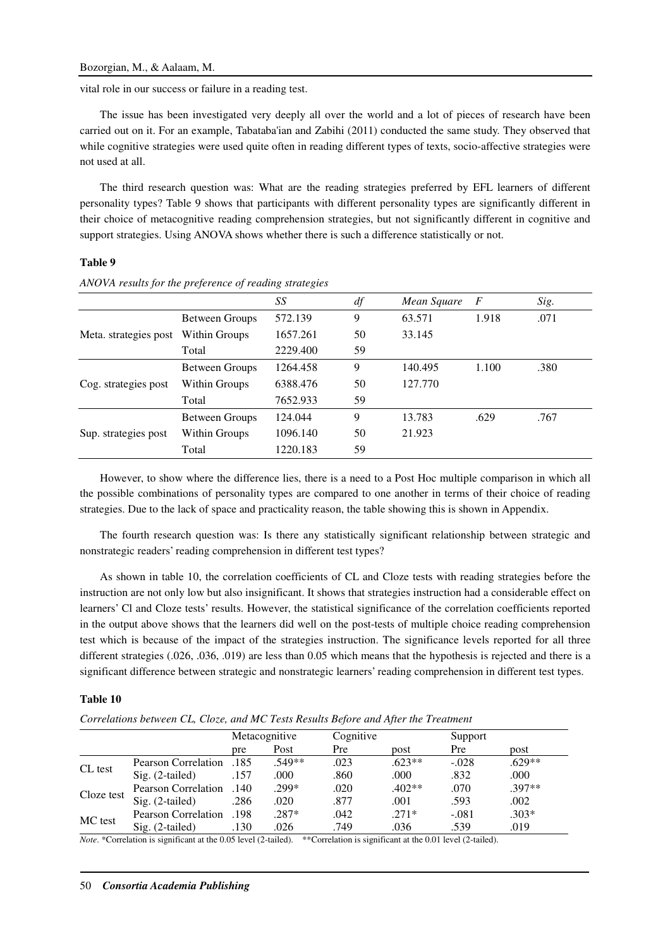vital role in our success or failure in a reading test.

The issue has been investigated very deeply all over the world and a lot of pieces of research have been carried out on it. For an example, Tabataba'ian and Zabihi (2011) conducted the same study. They observed that while cognitive strategies were used quite often in reading different types of texts, socio-affective strategies were not used at all.

The third research question was: What are the reading strategies preferred by EFL learners of different personality types? Table 9 shows that participants with different personality types are significantly different in their choice of metacognitive reading comprehension strategies, but not significantly different in cognitive and support strategies. Using ANOVA shows whether there is such a difference statistically or not.

## **Table 9**

|                       |                | SS       | df | Mean Square | $\overline{F}$ | Sig. |
|-----------------------|----------------|----------|----|-------------|----------------|------|
|                       | Between Groups | 572.139  | 9  | 63.571      | 1.918          | .071 |
| Meta. strategies post | Within Groups  | 1657.261 | 50 | 33.145      |                |      |
|                       | Total          | 2229.400 | 59 |             |                |      |
|                       | Between Groups | 1264.458 | 9  | 140.495     | 1.100          | .380 |
| Cog. strategies post  | Within Groups  | 6388.476 | 50 | 127.770     |                |      |
|                       | Total          | 7652.933 | 59 |             |                |      |
|                       | Between Groups | 124.044  | 9  | 13.783      | .629           | .767 |
| Sup. strategies post  | Within Groups  | 1096.140 | 50 | 21.923      |                |      |
|                       | Total          | 1220.183 | 59 |             |                |      |

*ANOVA results for the preference of reading strategies* 

However, to show where the difference lies, there is a need to a Post Hoc multiple comparison in which all the possible combinations of personality types are compared to one another in terms of their choice of reading strategies. Due to the lack of space and practicality reason, the table showing this is shown in Appendix.

The fourth research question was: Is there any statistically significant relationship between strategic and nonstrategic readers' reading comprehension in different test types?

As shown in table 10, the correlation coefficients of CL and Cloze tests with reading strategies before the instruction are not only low but also insignificant. It shows that strategies instruction had a considerable effect on learners' Cl and Cloze tests' results. However, the statistical significance of the correlation coefficients reported in the output above shows that the learners did well on the post-tests of multiple choice reading comprehension test which is because of the impact of the strategies instruction. The significance levels reported for all three different strategies (.026, .036, .019) are less than 0.05 which means that the hypothesis is rejected and there is a significant difference between strategic and nonstrategic learners' reading comprehension in different test types.

## **Table 10**

*Correlations between CL, Cloze, and MC Tests Results Before and After the Treatment* 

|            |                     |      | Metacognitive | Cognitive |          | Support |          |
|------------|---------------------|------|---------------|-----------|----------|---------|----------|
|            |                     | pre  | Post          | Pre       | post     | Pre     | post     |
|            | Pearson Correlation | .185 | $.549**$      | .023      | $.623**$ | $-.028$ | $.629**$ |
| CL test    | $Sig. (2-tailed)$   | .157 | .000          | .860      | .000     | .832    | .000     |
|            | Pearson Correlation | .140 | .299*         | .020      | $.402**$ | .070    | .397**   |
| Cloze test | $Sig. (2-tailed)$   | .286 | .020          | .877      | .001     | .593    | .002     |
|            | Pearson Correlation | .198 | $.287*$       | .042      | $.271*$  | $-.081$ | $.303*$  |
| MC test    | $Sig. (2-tailed)$   | .130 | .026          | .749      | .036     | .539    | .019     |

*Note.* \*Correlation is significant at the 0.05 level (2-tailed). \*\*Correlation is significant at the 0.01 level (2-tailed).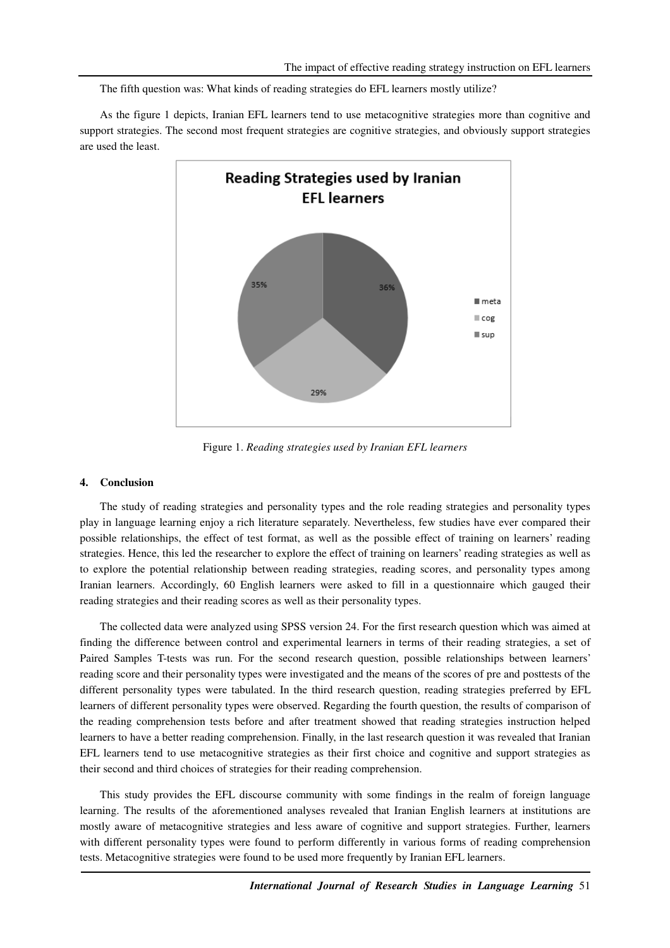The fifth question was: What kinds of reading strategies do EFL learners mostly utilize?

As the figure 1 depicts, Iranian EFL learners tend to use metacognitive strategies more than cognitive and support strategies. The second most frequent strategies are cognitive strategies, and obviously support strategies are used the least.



Figure 1. *Reading strategies used by Iranian EFL learners*

### **4. Conclusion**

The study of reading strategies and personality types and the role reading strategies and personality types play in language learning enjoy a rich literature separately. Nevertheless, few studies have ever compared their possible relationships, the effect of test format, as well as the possible effect of training on learners' reading strategies. Hence, this led the researcher to explore the effect of training on learners' reading strategies as well as to explore the potential relationship between reading strategies, reading scores, and personality types among Iranian learners. Accordingly, 60 English learners were asked to fill in a questionnaire which gauged their reading strategies and their reading scores as well as their personality types.

The collected data were analyzed using SPSS version 24. For the first research question which was aimed at finding the difference between control and experimental learners in terms of their reading strategies, a set of Paired Samples T-tests was run. For the second research question, possible relationships between learners' reading score and their personality types were investigated and the means of the scores of pre and posttests of the different personality types were tabulated. In the third research question, reading strategies preferred by EFL learners of different personality types were observed. Regarding the fourth question, the results of comparison of the reading comprehension tests before and after treatment showed that reading strategies instruction helped learners to have a better reading comprehension. Finally, in the last research question it was revealed that Iranian EFL learners tend to use metacognitive strategies as their first choice and cognitive and support strategies as their second and third choices of strategies for their reading comprehension.

This study provides the EFL discourse community with some findings in the realm of foreign language learning. The results of the aforementioned analyses revealed that Iranian English learners at institutions are mostly aware of metacognitive strategies and less aware of cognitive and support strategies. Further, learners with different personality types were found to perform differently in various forms of reading comprehension tests. Metacognitive strategies were found to be used more frequently by Iranian EFL learners.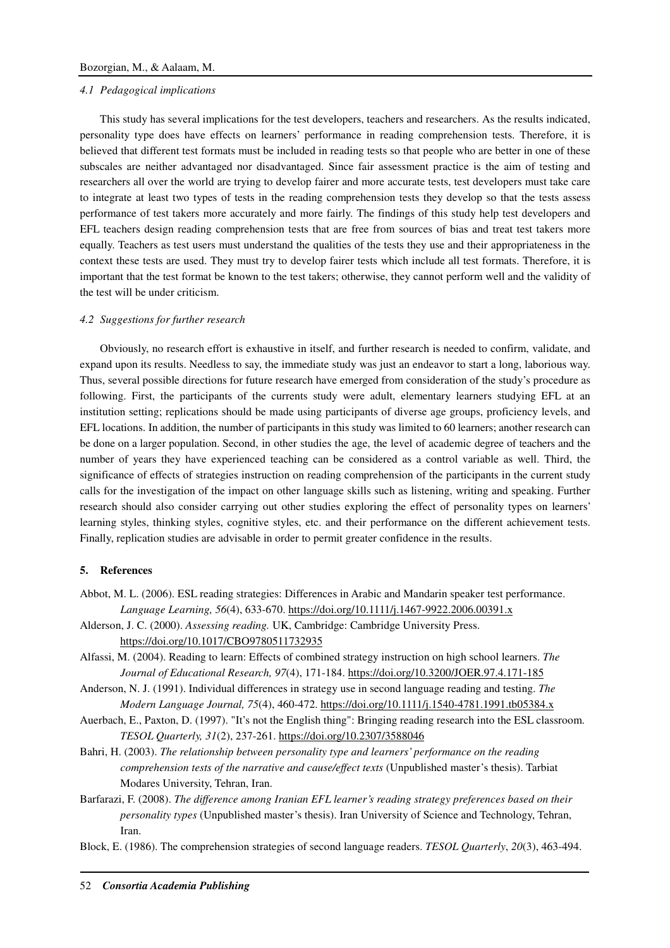#### *4.1 Pedagogical implications*

This study has several implications for the test developers, teachers and researchers. As the results indicated, personality type does have effects on learners' performance in reading comprehension tests. Therefore, it is believed that different test formats must be included in reading tests so that people who are better in one of these subscales are neither advantaged nor disadvantaged. Since fair assessment practice is the aim of testing and researchers all over the world are trying to develop fairer and more accurate tests, test developers must take care to integrate at least two types of tests in the reading comprehension tests they develop so that the tests assess performance of test takers more accurately and more fairly. The findings of this study help test developers and EFL teachers design reading comprehension tests that are free from sources of bias and treat test takers more equally. Teachers as test users must understand the qualities of the tests they use and their appropriateness in the context these tests are used. They must try to develop fairer tests which include all test formats. Therefore, it is important that the test format be known to the test takers; otherwise, they cannot perform well and the validity of the test will be under criticism.

#### *4.2 Suggestions for further research*

Obviously, no research effort is exhaustive in itself, and further research is needed to confirm, validate, and expand upon its results. Needless to say, the immediate study was just an endeavor to start a long, laborious way. Thus, several possible directions for future research have emerged from consideration of the study's procedure as following. First, the participants of the currents study were adult, elementary learners studying EFL at an institution setting; replications should be made using participants of diverse age groups, proficiency levels, and EFL locations. In addition, the number of participants in this study was limited to 60 learners; another research can be done on a larger population. Second, in other studies the age, the level of academic degree of teachers and the number of years they have experienced teaching can be considered as a control variable as well. Third, the significance of effects of strategies instruction on reading comprehension of the participants in the current study calls for the investigation of the impact on other language skills such as listening, writing and speaking. Further research should also consider carrying out other studies exploring the effect of personality types on learners' learning styles, thinking styles, cognitive styles, etc. and their performance on the different achievement tests. Finally, replication studies are advisable in order to permit greater confidence in the results.

### **5. References**

- Abbot, M. L. (2006). ESL reading strategies: Differences in Arabic and Mandarin speaker test performance. *Language Learning, 56*(4), 633-670. https://doi.org/10.1111/j.1467-9922.2006.00391.x
- Alderson, J. C. (2000). *Assessing reading.* UK, Cambridge: Cambridge University Press. https://doi.org/10.1017/CBO9780511732935
- Alfassi, M. (2004). Reading to learn: Effects of combined strategy instruction on high school learners. *The Journal of Educational Research, 97*(4), 171-184. https://doi.org/10.3200/JOER.97.4.171-185
- Anderson, N. J. (1991). Individual differences in strategy use in second language reading and testing. *The Modern Language Journal, 75*(4), 460-472. https://doi.org/10.1111/j.1540-4781.1991.tb05384.x
- Auerbach, E., Paxton, D. (1997). "It's not the English thing": Bringing reading research into the ESL classroom. *TESOL Quarterly, 31*(2), 237-261. https://doi.org/10.2307/3588046
- Bahri, H. (2003). *The relationship between personality type and learners' performance on the reading comprehension tests of the narrative and cause/effect texts* (Unpublished master's thesis). Tarbiat Modares University, Tehran, Iran.
- Barfarazi, F. (2008). *The difference among Iranian EFL learner's reading strategy preferences based on their personality types* (Unpublished master's thesis). Iran University of Science and Technology, Tehran, Iran.
- Block, E. (1986). The comprehension strategies of second language readers. *TESOL Quarterly*, *20*(3), 463-494.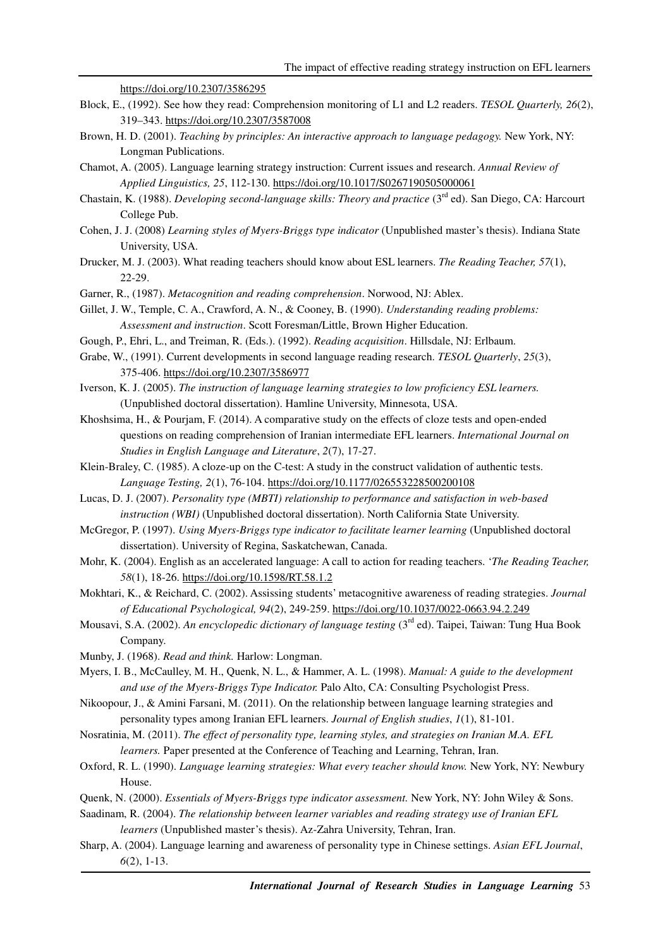https://doi.org/10.2307/3586295

- Block, E., (1992). See how they read: Comprehension monitoring of L1 and L2 readers. *TESOL Quarterly, 26*(2), 319–343. https://doi.org/10.2307/3587008
- Brown, H. D. (2001). *Teaching by principles: An interactive approach to language pedagogy.* New York, NY: Longman Publications.
- Chamot, A. (2005). Language learning strategy instruction: Current issues and research. *Annual Review of Applied Linguistics, 25*, 112-130. https://doi.org/10.1017/S0267190505000061
- Chastain, K. (1988). *Developing second-language skills: Theory and practice* (3<sup>rd</sup> ed). San Diego, CA: Harcourt College Pub.
- Cohen, J. J. (2008) *Learning styles of Myers-Briggs type indicator* (Unpublished master's thesis). Indiana State University, USA.
- Drucker, M. J. (2003). What reading teachers should know about ESL learners. *The Reading Teacher, 57*(1), 22-29.
- Garner, R., (1987). *Metacognition and reading comprehension*. Norwood, NJ: Ablex.
- Gillet, J. W., Temple, C. A., Crawford, A. N., & Cooney, B. (1990). *Understanding reading problems: Assessment and instruction*. Scott Foresman/Little, Brown Higher Education.
- Gough, P., Ehri, L., and Treiman, R. (Eds.). (1992). *Reading acquisition*. Hillsdale, NJ: Erlbaum.
- Grabe, W., (1991). Current developments in second language reading research. *TESOL Quarterly*, *25*(3), 375-406. https://doi.org/10.2307/3586977
- Iverson, K. J. (2005). *The instruction of language learning strategies to low proficiency ESL learners.* (Unpublished doctoral dissertation). Hamline University, Minnesota, USA.
- Khoshsima, H., & Pourjam, F. (2014). A comparative study on the effects of cloze tests and open-ended questions on reading comprehension of Iranian intermediate EFL learners. *International Journal on Studies in English Language and Literature*, *2*(7), 17-27.
- Klein-Braley, C. (1985). A cloze-up on the C-test: A study in the construct validation of authentic tests. *Language Testing, 2*(1), 76-104. https://doi.org/10.1177/026553228500200108
- Lucas, D. J. (2007). *Personality type (MBTI) relationship to performance and satisfaction in web-based instruction (WBI)* (Unpublished doctoral dissertation). North California State University.
- McGregor, P. (1997). *Using Myers-Briggs type indicator to facilitate learner learning* (Unpublished doctoral dissertation). University of Regina, Saskatchewan, Canada.
- Mohr, K. (2004). English as an accelerated language: A call to action for reading teachers. '*The Reading Teacher, 58*(1), 18-26. https://doi.org/10.1598/RT.58.1.2
- Mokhtari, K., & Reichard, C. (2002). Assissing students' metacognitive awareness of reading strategies. *Journal of Educational Psychological, 94*(2), 249-259. https://doi.org/10.1037/0022-0663.94.2.249
- Mousavi, S.A. (2002). *An encyclopedic dictionary of language testing* (3rd ed). Taipei, Taiwan: Tung Hua Book Company.
- Munby, J. (1968). *Read and think.* Harlow: Longman.
- Myers, I. B., McCaulley, M. H., Quenk, N. L., & Hammer, A. L. (1998). *Manual: A guide to the development and use of the Myers-Briggs Type Indicator.* Palo Alto, CA: Consulting Psychologist Press.
- Nikoopour, J., & Amini Farsani, M. (2011). On the relationship between language learning strategies and personality types among Iranian EFL learners. *Journal of English studies*, *1*(1), 81-101.
- Nosratinia, M. (2011). *The effect of personality type, learning styles, and strategies on Iranian M.A. EFL learners.* Paper presented at the Conference of Teaching and Learning, Tehran, Iran.
- Oxford, R. L. (1990). *Language learning strategies: What every teacher should know.* New York, NY: Newbury House.
- Quenk, N. (2000). *Essentials of Myers-Briggs type indicator assessment.* New York, NY: John Wiley & Sons.
- Saadinam, R. (2004). *The relationship between learner variables and reading strategy use of Iranian EFL learners* (Unpublished master's thesis). Az-Zahra University, Tehran, Iran.
- Sharp, A. (2004). Language learning and awareness of personality type in Chinese settings. *Asian EFL Journal*, *6*(2), 1-13.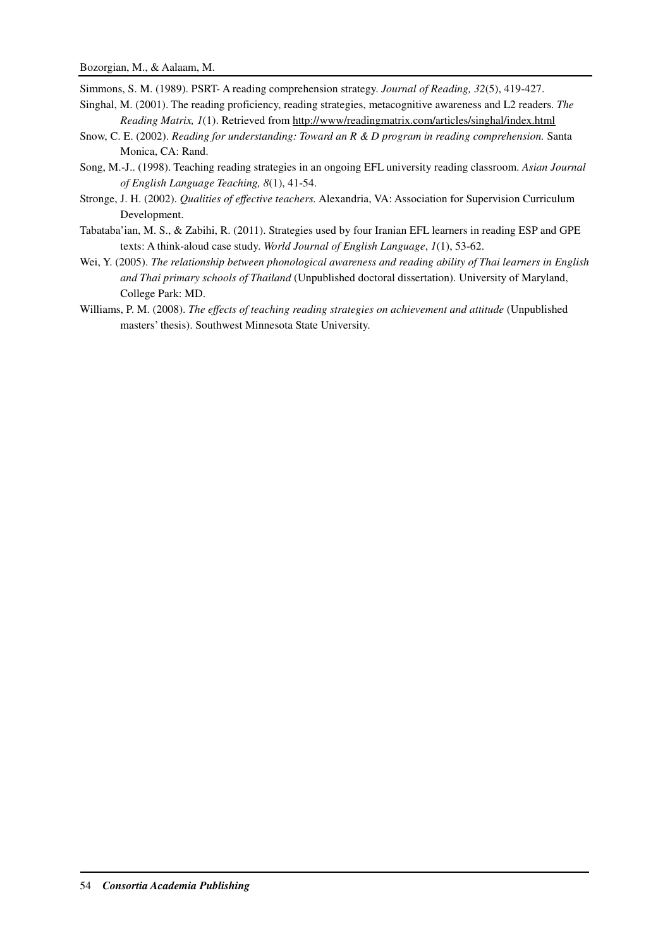Simmons, S. M. (1989). PSRT- A reading comprehension strategy. *Journal of Reading, 32*(5), 419-427.

- Singhal, M. (2001). The reading proficiency, reading strategies, metacognitive awareness and L2 readers. *The Reading Matrix, 1*(1). Retrieved from http://www/readingmatrix.com/articles/singhal/index.html
- Snow, C. E. (2002). *Reading for understanding: Toward an R & D program in reading comprehension.* Santa Monica, CA: Rand.
- Song, M.-J.. (1998). Teaching reading strategies in an ongoing EFL university reading classroom. *Asian Journal of English Language Teaching, 8*(1), 41-54.
- Stronge, J. H. (2002). *Qualities of effective teachers.* Alexandria, VA: Association for Supervision Curriculum Development.
- Tabataba'ian, M. S., & Zabihi, R. (2011). Strategies used by four Iranian EFL learners in reading ESP and GPE texts: A think-aloud case study. *World Journal of English Language*, *1*(1), 53-62.
- Wei, Y. (2005). *The relationship between phonological awareness and reading ability of Thai learners in English and Thai primary schools of Thailand* (Unpublished doctoral dissertation). University of Maryland, College Park: MD.
- Williams, P. M. (2008). *The effects of teaching reading strategies on achievement and attitude* (Unpublished masters' thesis). Southwest Minnesota State University.